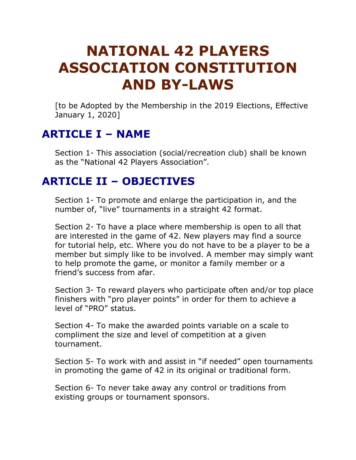# **NATIONAL 42 PLAYERS ASSOCIATION CONSTITUTION AND BY-LAWS**

[to be Adopted by the Membership in the 2019 Elections, Effective January 1, 2020]

# **ARTICLE I – NAME**

Section 1- This association (social/recreation club) shall be known as the "National 42 Players Association".

#### **ARTICLE II – OBJECTIVES**

Section 1- To promote and enlarge the participation in, and the number of, "live" tournaments in a straight 42 format.

Section 2- To have a place where membership is open to all that are interested in the game of 42. New players may find a source for tutorial help, etc. Where you do not have to be a player to be a member but simply like to be involved. A member may simply want to help promote the game, or monitor a family member or a friend's success from afar.

Section 3- To reward players who participate often and/or top place finishers with "pro player points" in order for them to achieve a level of "PRO" status.

Section 4- To make the awarded points variable on a scale to compliment the size and level of competition at a given tournament.

Section 5- To work with and assist in "if needed" open tournaments in promoting the game of 42 in its original or traditional form.

Section 6- To never take away any control or traditions from existing groups or tournament sponsors.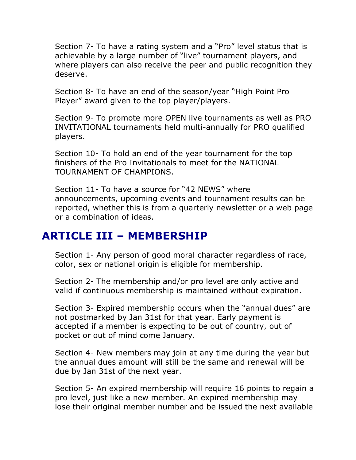Section 7- To have a rating system and a "Pro" level status that is achievable by a large number of "live" tournament players, and where players can also receive the peer and public recognition they deserve.

Section 8- To have an end of the season/year "High Point Pro Player" award given to the top player/players.

Section 9- To promote more OPEN live tournaments as well as PRO INVITATIONAL tournaments held multi-annually for PRO qualified players.

Section 10- To hold an end of the year tournament for the top finishers of the Pro Invitationals to meet for the NATIONAL TOURNAMENT OF CHAMPIONS.

Section 11- To have a source for "42 NEWS" where announcements, upcoming events and tournament results can be reported, whether this is from a quarterly newsletter or a web page or a combination of ideas.

#### **ARTICLE III – MEMBERSHIP**

Section 1- Any person of good moral character regardless of race, color, sex or national origin is eligible for membership.

Section 2- The membership and/or pro level are only active and valid if continuous membership is maintained without expiration.

Section 3- Expired membership occurs when the "annual dues" are not postmarked by Jan 31st for that year. Early payment is accepted if a member is expecting to be out of country, out of pocket or out of mind come January.

Section 4- New members may join at any time during the year but the annual dues amount will still be the same and renewal will be due by Jan 31st of the next year.

Section 5- An expired membership will require 16 points to regain a pro level, just like a new member. An expired membership may lose their original member number and be issued the next available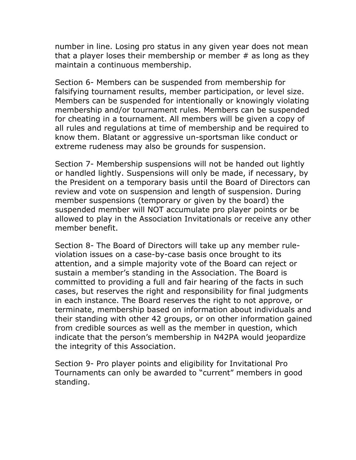number in line. Losing pro status in any given year does not mean that a player loses their membership or member  $#$  as long as they maintain a continuous membership.

Section 6- Members can be suspended from membership for falsifying tournament results, member participation, or level size. Members can be suspended for intentionally or knowingly violating membership and/or tournament rules. Members can be suspended for cheating in a tournament. All members will be given a copy of all rules and regulations at time of membership and be required to know them. Blatant or aggressive un-sportsman like conduct or extreme rudeness may also be grounds for suspension.

Section 7- Membership suspensions will not be handed out lightly or handled lightly. Suspensions will only be made, if necessary, by the President on a temporary basis until the Board of Directors can review and vote on suspension and length of suspension. During member suspensions (temporary or given by the board) the suspended member will NOT accumulate pro player points or be allowed to play in the Association Invitationals or receive any other member benefit.

Section 8- The Board of Directors will take up any member ruleviolation issues on a case-by-case basis once brought to its attention, and a simple majority vote of the Board can reject or sustain a member's standing in the Association. The Board is committed to providing a full and fair hearing of the facts in such cases, but reserves the right and responsibility for final judgments in each instance. The Board reserves the right to not approve, or terminate, membership based on information about individuals and their standing with other 42 groups, or on other information gained from credible sources as well as the member in question, which indicate that the person's membership in N42PA would jeopardize the integrity of this Association.

Section 9- Pro player points and eligibility for Invitational Pro Tournaments can only be awarded to "current" members in good standing.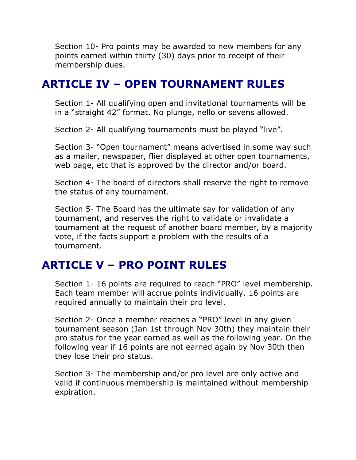Section 10- Pro points may be awarded to new members for any points earned within thirty (30) days prior to receipt of their membership dues.

#### **ARTICLE IV – OPEN TOURNAMENT RULES**

Section 1- All qualifying open and invitational tournaments will be in a "straight 42" format. No plunge, nello or sevens allowed.

Section 2- All qualifying tournaments must be played "live".

Section 3- "Open tournament" means advertised in some way such as a mailer, newspaper, flier displayed at other open tournaments, web page, etc that is approved by the director and/or board.

Section 4- The board of directors shall reserve the right to remove the status of any tournament.

Section 5- The Board has the ultimate say for validation of any tournament, and reserves the right to validate or invalidate a tournament at the request of another board member, by a majority vote, if the facts support a problem with the results of a tournament.

# **ARTICLE V – PRO POINT RULES**

Section 1- 16 points are required to reach "PRO" level membership. Each team member will accrue points individually. 16 points are required annually to maintain their pro level.

Section 2- Once a member reaches a "PRO" level in any given tournament season (Jan 1st through Nov 30th) they maintain their pro status for the year earned as well as the following year. On the following year if 16 points are not earned again by Nov 30th then they lose their pro status.

Section 3- The membership and/or pro level are only active and valid if continuous membership is maintained without membership expiration.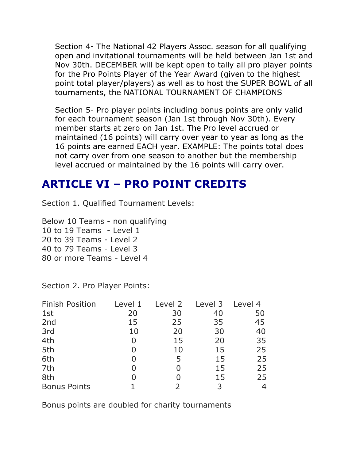Section 4- The National 42 Players Assoc. season for all qualifying open and invitational tournaments will be held between Jan 1st and Nov 30th. DECEMBER will be kept open to tally all pro player points for the Pro Points Player of the Year Award (given to the highest point total player/players) as well as to host the SUPER BOWL of all tournaments, the NATIONAL TOURNAMENT OF CHAMPIONS

Section 5- Pro player points including bonus points are only valid for each tournament season (Jan 1st through Nov 30th). Every member starts at zero on Jan 1st. The Pro level accrued or maintained (16 points) will carry over year to year as long as the 16 points are earned EACH year. EXAMPLE: The points total does not carry over from one season to another but the membership level accrued or maintained by the 16 points will carry over.

#### **ARTICLE VI – PRO POINT CREDITS**

Section 1. Qualified Tournament Levels:

Below 10 Teams - non qualifying 10 to 19 Teams - Level 1 20 to 39 Teams - Level 2 40 to 79 Teams - Level 3 80 or more Teams - Level 4

Section 2. Pro Player Points:

| <b>Finish Position</b> | Level 1 | Level 2 | Level 3 | Level 4 |
|------------------------|---------|---------|---------|---------|
| 1st                    | 20      | 30      | 40      | 50      |
| 2nd                    | 15      | 25      | 35      | 45      |
| 3rd                    | 10      | 20      | 30      | 40      |
| 4th                    | 0       | 15      | 20      | 35      |
| 5th                    | O       | 10      | 15      | 25      |
| 6th                    | O       | 5       | 15      | 25      |
| 7th                    | O       |         | 15      | 25      |
| 8th                    |         |         | 15      | 25      |
| <b>Bonus Points</b>    |         |         | 3       | 4       |

Bonus points are doubled for charity tournaments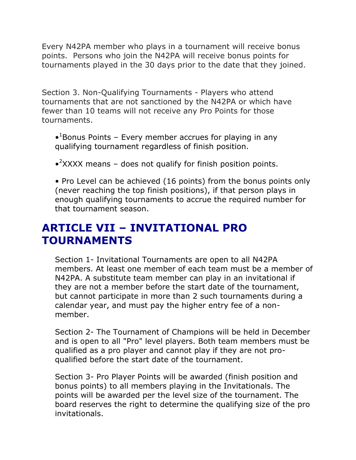Every N42PA member who plays in a tournament will receive bonus points. Persons who join the N42PA will receive bonus points for tournaments played in the 30 days prior to the date that they joined.

Section 3. Non-Qualifying Tournaments - Players who attend tournaments that are not sanctioned by the N42PA or which have fewer than 10 teams will not receive any Pro Points for those tournaments.

- $\cdot$ <sup>1</sup>Bonus Points Every member accrues for playing in any qualifying tournament regardless of finish position.
- $\bullet$ <sup>2</sup>XXXX means does not qualify for finish position points.

• Pro Level can be achieved (16 points) from the bonus points only (never reaching the top finish positions), if that person plays in enough qualifying tournaments to accrue the required number for that tournament season.

# **ARTICLE VII – INVITATIONAL PRO TOURNAMENTS**

Section 1- Invitational Tournaments are open to all N42PA members. At least one member of each team must be a member of N42PA. A substitute team member can play in an invitational if they are not a member before the start date of the tournament, but cannot participate in more than 2 such tournaments during a calendar year, and must pay the higher entry fee of a nonmember.

Section 2- The Tournament of Champions will be held in December and is open to all "Pro" level players. Both team members must be qualified as a pro player and cannot play if they are not proqualified before the start date of the tournament.

Section 3- Pro Player Points will be awarded (finish position and bonus points) to all members playing in the Invitationals. The points will be awarded per the level size of the tournament. The board reserves the right to determine the qualifying size of the pro invitationals.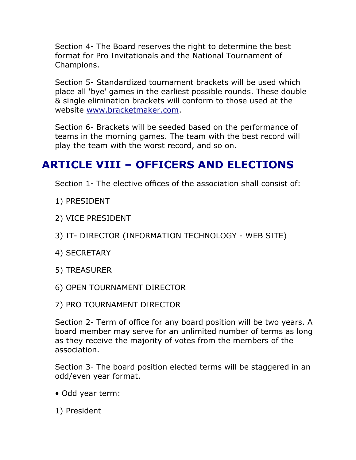Section 4- The Board reserves the right to determine the best format for Pro Invitationals and the National Tournament of Champions.

Section 5- Standardized tournament brackets will be used which place all 'bye' games in the earliest possible rounds. These double & single elimination brackets will conform to those used at the website [www.bracketmaker.com.](https://web.archive.org/web/20110920111931/http:/www.bracketmaker.com/)

Section 6- Brackets will be seeded based on the performance of teams in the morning games. The team with the best record will play the team with the worst record, and so on.

# **ARTICLE VIII – OFFICERS AND ELECTIONS**

Section 1- The elective offices of the association shall consist of:

- 1) PRESIDENT
- 2) VICE PRESIDENT
- 3) IT- DIRECTOR (INFORMATION TECHNOLOGY WEB SITE)
- 4) SECRETARY
- 5) TREASURER
- 6) OPEN TOURNAMENT DIRECTOR
- 7) PRO TOURNAMENT DIRECTOR

Section 2- Term of office for any board position will be two years. A board member may serve for an unlimited number of terms as long as they receive the majority of votes from the members of the association.

Section 3- The board position elected terms will be staggered in an odd/even year format.

- Odd year term:
- 1) President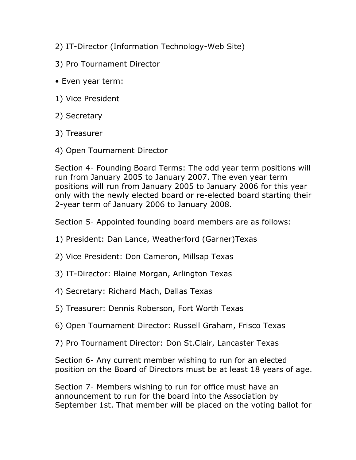- 2) IT-Director (Information Technology-Web Site)
- 3) Pro Tournament Director
- Even year term:
- 1) Vice President
- 2) Secretary
- 3) Treasurer
- 4) Open Tournament Director

Section 4- Founding Board Terms: The odd year term positions will run from January 2005 to January 2007. The even year term positions will run from January 2005 to January 2006 for this year only with the newly elected board or re-elected board starting their 2-year term of January 2006 to January 2008.

Section 5- Appointed founding board members are as follows:

- 1) President: Dan Lance, Weatherford (Garner)Texas
- 2) Vice President: Don Cameron, Millsap Texas
- 3) IT-Director: Blaine Morgan, Arlington Texas
- 4) Secretary: Richard Mach, Dallas Texas
- 5) Treasurer: Dennis Roberson, Fort Worth Texas
- 6) Open Tournament Director: Russell Graham, Frisco Texas
- 7) Pro Tournament Director: Don St.Clair, Lancaster Texas

Section 6- Any current member wishing to run for an elected position on the Board of Directors must be at least 18 years of age.

Section 7- Members wishing to run for office must have an announcement to run for the board into the Association by September 1st. That member will be placed on the voting ballot for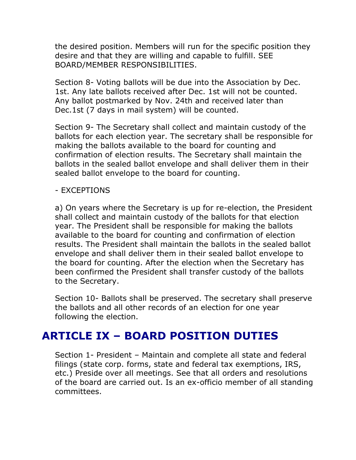the desired position. Members will run for the specific position they desire and that they are willing and capable to fulfill. SEE BOARD/MEMBER RESPONSIBILITIES.

Section 8- Voting ballots will be due into the Association by Dec. 1st. Any late ballots received after Dec. 1st will not be counted. Any ballot postmarked by Nov. 24th and received later than Dec.1st (7 days in mail system) will be counted.

Section 9- The Secretary shall collect and maintain custody of the ballots for each election year. The secretary shall be responsible for making the ballots available to the board for counting and confirmation of election results. The Secretary shall maintain the ballots in the sealed ballot envelope and shall deliver them in their sealed ballot envelope to the board for counting.

#### - EXCEPTIONS

a) On years where the Secretary is up for re-election, the President shall collect and maintain custody of the ballots for that election year. The President shall be responsible for making the ballots available to the board for counting and confirmation of election results. The President shall maintain the ballots in the sealed ballot envelope and shall deliver them in their sealed ballot envelope to the board for counting. After the election when the Secretary has been confirmed the President shall transfer custody of the ballots to the Secretary.

Section 10- Ballots shall be preserved. The secretary shall preserve the ballots and all other records of an election for one year following the election.

#### **ARTICLE IX – BOARD POSITION DUTIES**

Section 1- President – Maintain and complete all state and federal filings (state corp. forms, state and federal tax exemptions, IRS, etc.) Preside over all meetings. See that all orders and resolutions of the board are carried out. Is an ex-officio member of all standing committees.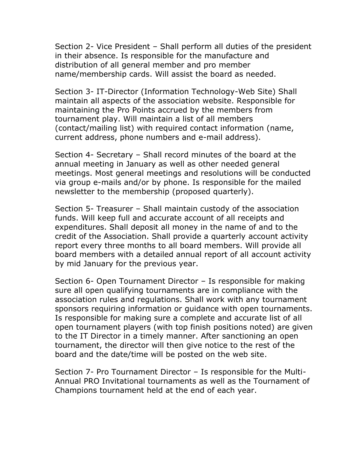Section 2- Vice President – Shall perform all duties of the president in their absence. Is responsible for the manufacture and distribution of all general member and pro member name/membership cards. Will assist the board as needed.

Section 3- IT-Director (Information Technology-Web Site) Shall maintain all aspects of the association website. Responsible for maintaining the Pro Points accrued by the members from tournament play. Will maintain a list of all members (contact/mailing list) with required contact information (name, current address, phone numbers and e-mail address).

Section 4- Secretary – Shall record minutes of the board at the annual meeting in January as well as other needed general meetings. Most general meetings and resolutions will be conducted via group e-mails and/or by phone. Is responsible for the mailed newsletter to the membership (proposed quarterly).

Section 5- Treasurer – Shall maintain custody of the association funds. Will keep full and accurate account of all receipts and expenditures. Shall deposit all money in the name of and to the credit of the Association. Shall provide a quarterly account activity report every three months to all board members. Will provide all board members with a detailed annual report of all account activity by mid January for the previous year.

Section 6- Open Tournament Director – Is responsible for making sure all open qualifying tournaments are in compliance with the association rules and regulations. Shall work with any tournament sponsors requiring information or guidance with open tournaments. Is responsible for making sure a complete and accurate list of all open tournament players (with top finish positions noted) are given to the IT Director in a timely manner. After sanctioning an open tournament, the director will then give notice to the rest of the board and the date/time will be posted on the web site.

Section 7- Pro Tournament Director – Is responsible for the Multi-Annual PRO Invitational tournaments as well as the Tournament of Champions tournament held at the end of each year.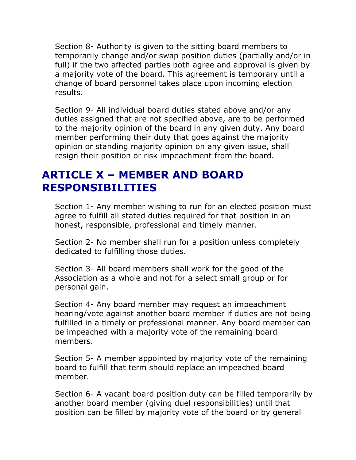Section 8- Authority is given to the sitting board members to temporarily change and/or swap position duties (partially and/or in full) if the two affected parties both agree and approval is given by a majority vote of the board. This agreement is temporary until a change of board personnel takes place upon incoming election results.

Section 9- All individual board duties stated above and/or any duties assigned that are not specified above, are to be performed to the majority opinion of the board in any given duty. Any board member performing their duty that goes against the majority opinion or standing majority opinion on any given issue, shall resign their position or risk impeachment from the board.

#### **ARTICLE X – MEMBER AND BOARD RESPONSIBILITIES**

Section 1- Any member wishing to run for an elected position must agree to fulfill all stated duties required for that position in an honest, responsible, professional and timely manner.

Section 2- No member shall run for a position unless completely dedicated to fulfilling those duties.

Section 3- All board members shall work for the good of the Association as a whole and not for a select small group or for personal gain.

Section 4- Any board member may request an impeachment hearing/vote against another board member if duties are not being fulfilled in a timely or professional manner. Any board member can be impeached with a majority vote of the remaining board members.

Section 5- A member appointed by majority vote of the remaining board to fulfill that term should replace an impeached board member.

Section 6- A vacant board position duty can be filled temporarily by another board member (giving duel responsibilities) until that position can be filled by majority vote of the board or by general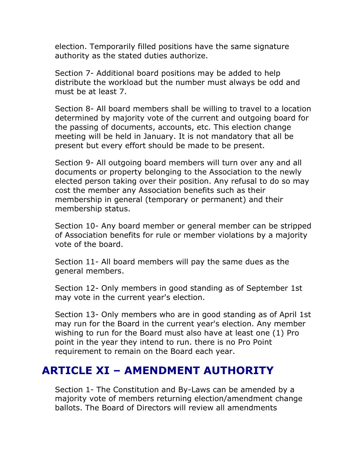election. Temporarily filled positions have the same signature authority as the stated duties authorize.

Section 7- Additional board positions may be added to help distribute the workload but the number must always be odd and must be at least 7.

Section 8- All board members shall be willing to travel to a location determined by majority vote of the current and outgoing board for the passing of documents, accounts, etc. This election change meeting will be held in January. It is not mandatory that all be present but every effort should be made to be present.

Section 9- All outgoing board members will turn over any and all documents or property belonging to the Association to the newly elected person taking over their position. Any refusal to do so may cost the member any Association benefits such as their membership in general (temporary or permanent) and their membership status.

Section 10- Any board member or general member can be stripped of Association benefits for rule or member violations by a majority vote of the board.

Section 11- All board members will pay the same dues as the general members.

Section 12- Only members in good standing as of September 1st may vote in the current year's election.

Section 13- Only members who are in good standing as of April 1st may run for the Board in the current year's election. Any member wishing to run for the Board must also have at least one (1) Pro point in the year they intend to run. there is no Pro Point requirement to remain on the Board each year.

# **ARTICLE XI – AMENDMENT AUTHORITY**

Section 1- The Constitution and By-Laws can be amended by a majority vote of members returning election/amendment change ballots. The Board of Directors will review all amendments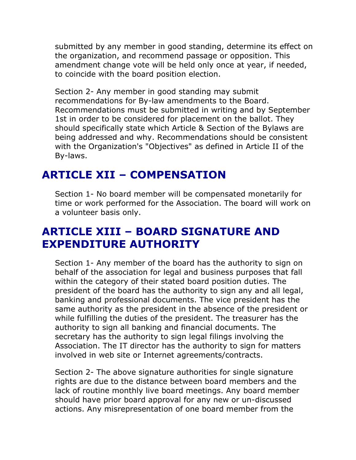submitted by any member in good standing, determine its effect on the organization, and recommend passage or opposition. This amendment change vote will be held only once at year, if needed, to coincide with the board position election.

Section 2- Any member in good standing may submit recommendations for By-law amendments to the Board. Recommendations must be submitted in writing and by September 1st in order to be considered for placement on the ballot. They should specifically state which Article & Section of the Bylaws are being addressed and why. Recommendations should be consistent with the Organization's "Objectives" as defined in Article II of the By-laws.

## **ARTICLE XII – COMPENSATION**

Section 1- No board member will be compensated monetarily for time or work performed for the Association. The board will work on a volunteer basis only.

# **ARTICLE XIII – BOARD SIGNATURE AND EXPENDITURE AUTHORITY**

Section 1- Any member of the board has the authority to sign on behalf of the association for legal and business purposes that fall within the category of their stated board position duties. The president of the board has the authority to sign any and all legal, banking and professional documents. The vice president has the same authority as the president in the absence of the president or while fulfilling the duties of the president. The treasurer has the authority to sign all banking and financial documents. The secretary has the authority to sign legal filings involving the Association. The IT director has the authority to sign for matters involved in web site or Internet agreements/contracts.

Section 2- The above signature authorities for single signature rights are due to the distance between board members and the lack of routine monthly live board meetings. Any board member should have prior board approval for any new or un-discussed actions. Any misrepresentation of one board member from the